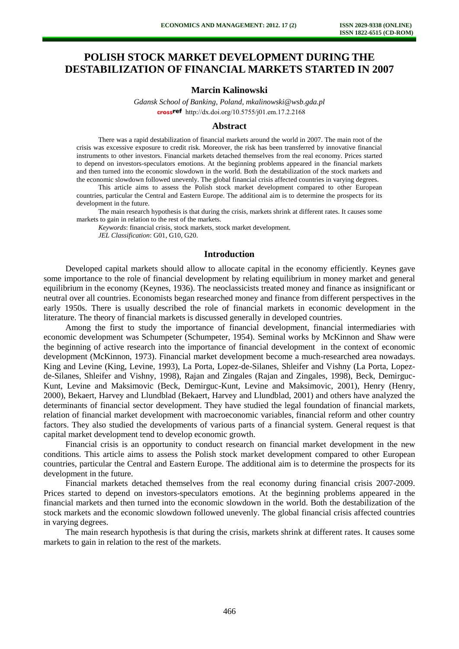# **POLISH STOCK MARKET DEVELOPMENT DURING THE DESTABILIZATION OF FINANCIAL MARKETS STARTED IN 2007**

# **Marcin Kalinowski**

*Gdansk School of Banking, Poland, [mkalinowski@wsb.gda.pl](mailto:mkalinowski@wsb.gda.pl)* crossref [http://dx.doi.org/10.5755/j01.e](http://dx.doi.org/10.5755/j01.em.17.2.2168)m.17.2.2168

# **Abstract**

There was a rapid destabilization of financial markets around the world in 2007. The main root of the crisis was excessive exposure to credit risk. Moreover, the risk has been transferred by innovative financial instruments to other investors. Financial markets detached themselves from the real economy. Prices started to depend on investors-speculators emotions. At the beginning problems appeared in the financial markets and then turned into the economic slowdown in the world. Both the destabilization of the stock markets and the economic slowdown followed unevenly. The global financial crisis affected countries in varying degrees.

This article aims to assess the Polish stock market development compared to other European countries, particular the Central and Eastern Europe. The additional aim is to determine the prospects for its development in the future.

The main research hypothesis is that during the crisis, markets shrink at different rates. It causes some markets to gain in relation to the rest of the markets.

*Keywords*: financial crisis, stock markets, stock market development. *JEL Classification*: G01, G10, G20.

# **Introduction**

Developed capital markets should allow to allocate capital in the economy efficiently. Keynes gave some importance to the role of financial development by relating equilibrium in money market and general equilibrium in the economy (Keynes, 1936). The neoclassicists treated money and finance as insignificant or neutral over all countries. Economists began researched money and finance from different perspectives in the early 1950s. There is usually described the role of financial markets in economic development in the literature. The theory of financial markets is discussed generally in developed countries.

Among the first to study the importance of financial development, financial intermediaries with economic development was Schumpeter (Schumpeter, 1954). Seminal works by McKinnon and Shaw were the beginning of active research into the importance of financial development in the context of economic development (McKinnon, 1973). Financial market development become a much-researched area nowadays. King and Levine (King, Levine, 1993), La Porta, Lopez-de-Silanes, Shleifer and Vishny (La Porta, Lopezde-Silanes, Shleifer and Vishny, 1998), Rajan and Zingales (Rajan and Zingales, 1998), Beck, Demirguc-Kunt, Levine and Maksimovic (Beck, Demirguc-Kunt, Levine and Maksimovic, 2001), Henry (Henry, 2000), Bekaert, Harvey and Llundblad (Bekaert, Harvey and Llundblad, 2001) and others have analyzed the determinants of financial sector development. They have studied the legal foundation of financial markets, relation of financial market development with macroeconomic variables, financial reform and other country factors. They also studied the developments of various parts of a financial system. General request is that capital market development tend to develop economic growth.

Financial crisis is an opportunity to conduct research on financial market development in the new conditions. This article aims to assess the Polish stock market development compared to other European countries, particular the Central and Eastern Europe. The additional aim is to determine the prospects for its development in the future.

Financial markets detached themselves from the real economy during financial crisis 2007-2009. Prices started to depend on investors-speculators emotions. At the beginning problems appeared in the financial markets and then turned into the economic slowdown in the world. Both the destabilization of the stock markets and the economic slowdown followed unevenly. The global financial crisis affected countries in varying degrees.

The main research hypothesis is that during the crisis, markets shrink at different rates. It causes some markets to gain in relation to the rest of the markets.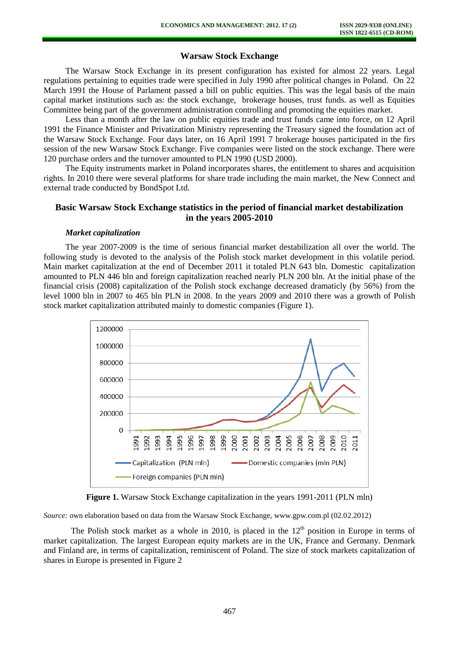# **Warsaw Stock Exchange**

The Warsaw Stock Exchange in its present configuration has existed for almost 22 years. Legal regulations pertaining to equities trade were specified in July 1990 after political changes in Poland. On 22 March 1991 the House of Parlament passed a bill on public equities. This was the legal basis of the main capital market institutions such as: the stock exchange, brokerage houses, trust funds. as well as Equities Committee being part of the government administration controlling and promoting the equities market.

Less than a month after the law on public equities trade and trust funds came into force, on 12 April 1991 the Finance Minister and Privatization Ministry representing the Treasury signed the foundation act of the Warsaw Stock Exchange. Four days later, on 16 April 1991 7 brokerage houses participated in the firs session of the new Warsaw Stock Exchange. Five companies were listed on the stock exchange. There were 120 purchase orders and the turnover amounted to PLN 1990 (USD 2000).

The Equity instruments market in Poland incorporates shares, the entitlement to shares and acquisition rights. In 2010 there were several platforms for share trade including the main market, the New Connect and external trade conducted by BondSpot Ltd.

# **Basic Warsaw Stock Exchange statistics in the period of financial market destabilization in the yea**r**s 2005-2010**

### *Market capitalization*

The year 2007-2009 is the time of serious financial market destabilization all over the world. The following study is devoted to the analysis of the Polish stock market development in this volatile period. Main market capitalization at the end of December 2011 it totaled PLN 643 bln. Domestic capitalization amounted to PLN 446 bln and foreign capitalization reached nearly PLN 200 bln. At the initial phase of the financial crisis (2008) capitalization of the Polish stock exchange decreased dramaticly (by 56%) from the level 1000 bln in 2007 to 465 bln PLN in 2008. In the years 2009 and 2010 there was a growth of Polish stock market capitalization attributed mainly to domestic companies (Figure 1).



**Figure 1.** Warsaw Stock Exchange capitalization in the years 1991-2011 (PLN mln)

*Source:* own elaboration based on data from the Warsaw Stock Exchange, www.gpw.com.pl (02.02.2012)

The Polish stock market as a whole in 2010, is placed in the  $12<sup>th</sup>$  position in Europe in terms of market capitalization. The largest European equity markets are in the UK, France and Germany. Denmark and Finland are, in terms of capitalization, reminiscent of Poland. The size of stock markets capitalization of shares in Europe is presented in Figure 2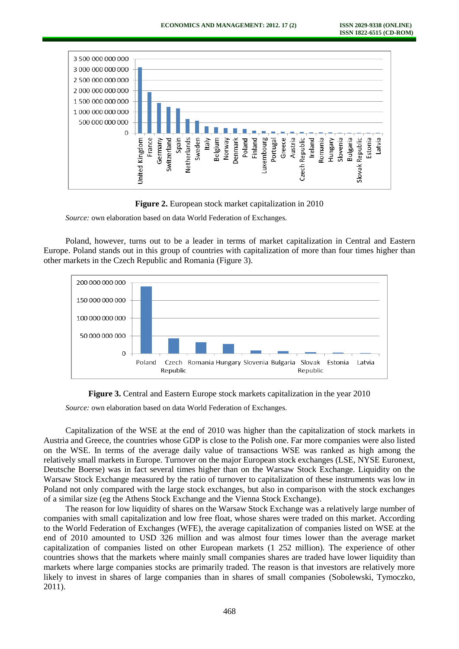



*Source:* own elaboration based on data World Federation of Exchanges*.* 

Poland, however, turns out to be a leader in terms of market capitalization in Central and Eastern Europe. Poland stands out in this group of countries with capitalization of more than four times higher than other markets in the Czech Republic and Romania (Figure 3).





*Source:* own elaboration based on data World Federation of Exchanges.

Capitalization of the WSE at the end of 2010 was higher than the capitalization of stock markets in Austria and Greece, the countries whose GDP is close to the Polish one. Far more companies were also listed on the WSE. In terms of the average daily value of transactions WSE was ranked as high among the relatively small markets in Europe. Turnover on the major European stock exchanges (LSE, NYSE Euronext, Deutsche Boerse) was in fact several times higher than on the Warsaw Stock Exchange. Liquidity on the Warsaw Stock Exchange measured by the ratio of turnover to capitalization of these instruments was low in Poland not only compared with the large stock exchanges, but also in comparison with the stock exchanges of a similar size (eg the Athens Stock Exchange and the Vienna Stock Exchange).

The reason for low liquidity of shares on the Warsaw Stock Exchange was a relatively large number of companies with small capitalization and low free float, whose shares were traded on this market. According to the World Federation of Exchanges (WFE), the average capitalization of companies listed on WSE at the end of 2010 amounted to USD 326 million and was almost four times lower than the average market capitalization of companies listed on other European markets (1 252 million). The experience of other countries shows that the markets where mainly small companies shares are traded have lower liquidity than markets where large companies stocks are primarily traded. The reason is that investors are relatively more likely to invest in shares of large companies than in shares of small companies (Sobolewski, Tymoczko, 2011).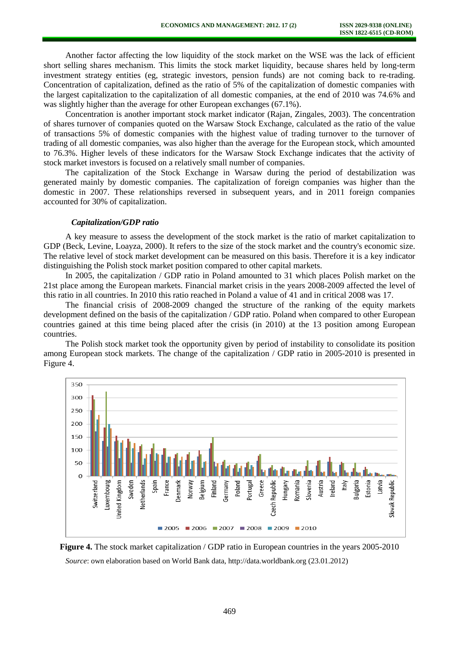Another factor affecting the low liquidity of the stock market on the WSE was the lack of efficient short selling shares mechanism. This limits the stock market liquidity, because shares held by long-term investment strategy entities (eg, strategic investors, pension funds) are not coming back to re-trading. Concentration of capitalization, defined as the ratio of 5% of the capitalization of domestic companies with the largest capitalization to the capitalization of all domestic companies, at the end of 2010 was 74.6% and was slightly higher than the average for other European exchanges (67.1%).

Concentration is another important stock market indicator (Rajan, Zingales, 2003). The concentration of shares turnover of companies quoted on the Warsaw Stock Exchange, calculated as the ratio of the value of transactions 5% of domestic companies with the highest value of trading turnover to the turnover of trading of all domestic companies, was also higher than the average for the European stock, which amounted to 76.3%. Higher levels of these indicators for the Warsaw Stock Exchange indicates that the activity of stock market investors is focused on a relatively small number of companies.

The capitalization of the Stock Exchange in Warsaw during the period of destabilization was generated mainly by domestic companies. The capitalization of foreign companies was higher than the domestic in 2007. These relationships reversed in subsequent years, and in 2011 foreign companies accounted for 30% of capitalization.

#### *Capitalization/GDP ratio*

A key measure to assess the development of the stock market is the ratio of market capitalization to GDP (Beck, Levine, Loayza, 2000). It refers to the size of the stock market and the country's economic size. The relative level of stock market development can be measured on this basis. Therefore it is a key indicator distinguishing the Polish stock market position compared to other capital markets.

In 2005, the capitalization / GDP ratio in Poland amounted to 31 which places Polish market on the 21st place among the European markets. Financial market crisis in the years 2008-2009 affected the level of this ratio in all countries. In 2010 this ratio reached in Poland a value of 41 and in critical 2008 was 17.

The financial crisis of 2008-2009 changed the structure of the ranking of the equity markets development defined on the basis of the capitalization / GDP ratio. Poland when compared to other European countries gained at this time being placed after the crisis (in 2010) at the 13 position among European countries.

The Polish stock market took the opportunity given by period of instability to consolidate its position among European stock markets. The change of the capitalization / GDP ratio in 2005-2010 is presented in Figure 4.



**Figure 4.** The stock market capitalization / GDP ratio in European countries in the years 2005-2010 *Source*: own elaboration based on World Bank data, http://data.worldbank.org (23.01.2012)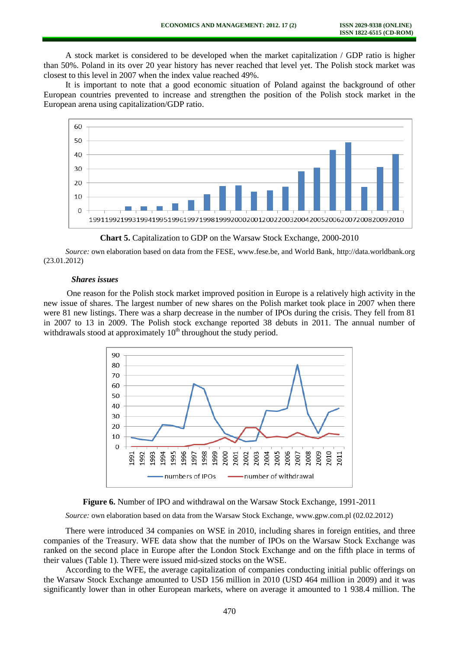A stock market is considered to be developed when the market capitalization / GDP ratio is higher than 50%. Poland in its over 20 year history has never reached that level yet. The Polish stock market was closest to this level in 2007 when the index value reached 49%.

It is important to note that a good economic situation of Poland against the background of other European countries prevented to increase and strengthen the position of the Polish stock market in the European arena using capitalization/GDP ratio.



**Chart 5.** Capitalization to GDP on the Warsaw Stock Exchange, 2000-2010

*Source:* own elaboration based on data from the FESE, www.fese.be, and World Bank, http://data.worldbank.org (23.01.2012)

### *Shares issues*

One reason for the Polish stock market improved position in Europe is a relatively high activity in the new issue of shares. The largest number of new shares on the Polish market took place in 2007 when there were 81 new listings. There was a sharp decrease in the number of IPOs during the crisis. They fell from 81 in 2007 to 13 in 2009. The Polish stock exchange reported 38 debuts in 2011. The annual number of withdrawals stood at approximately  $10<sup>th</sup>$  throughout the study period.





*Source:* own elaboration based on data from the Warsaw Stock Exchange, www.gpw.com.pl (02.02.2012)

There were introduced 34 companies on WSE in 2010, including shares in foreign entities, and three companies of the Treasury. WFE data show that the number of IPOs on the Warsaw Stock Exchange was ranked on the second place in Europe after the London Stock Exchange and on the fifth place in terms of their values (Table 1). There were issued mid-sized stocks on the WSE.

According to the WFE, the average capitalization of companies conducting initial public offerings on the Warsaw Stock Exchange amounted to USD 156 million in 2010 (USD 464 million in 2009) and it was significantly lower than in other European markets, where on average it amounted to 1 938.4 million. The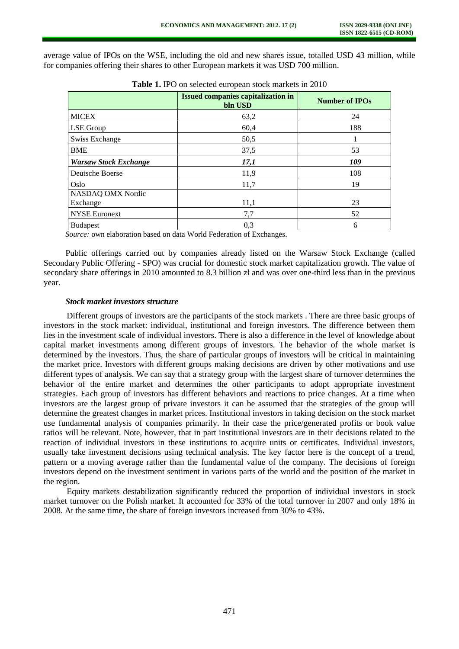average value of IPOs on the WSE, including the old and new shares issue, totalled USD 43 million, while for companies offering their shares to other European markets it was USD 700 million.

|                              | <b>Issued companies capitalization in</b><br>bln USD | <b>Number of IPOs</b> |
|------------------------------|------------------------------------------------------|-----------------------|
| <b>MICEX</b>                 | 63,2                                                 | 24                    |
| LSE Group                    | 60,4                                                 | 188                   |
| <b>Swiss Exchange</b>        | 50,5                                                 |                       |
| <b>BME</b>                   | 37,5                                                 | 53                    |
| <b>Warsaw Stock Exchange</b> | 17,1                                                 | 109                   |
| Deutsche Boerse              | 11,9                                                 | 108                   |
| Oslo                         | 11,7                                                 | 19                    |
| NASDAQ OMX Nordic            |                                                      |                       |
| Exchange                     | 11,1                                                 | 23                    |
| <b>NYSE Euronext</b>         | 7,7                                                  | 52                    |
| <b>Budapest</b>              | 0,3                                                  | 6                     |

**Table 1.** IPO on selected european stock markets in 2010

*Source:* own elaboration based on data World Federation of Exchanges.

Public offerings carried out by companies already listed on the Warsaw Stock Exchange (called Secondary Public Offering - SPO) was crucial for domestic stock market capitalization growth. The value of secondary share offerings in 2010 amounted to 8.3 billion zł and was over one-third less than in the previous year.

### *Stock market investors structure*

Different groups of investors are the participants of the stock markets . There are three basic groups of investors in the stock market: individual, institutional and foreign investors. The difference between them lies in the investment scale of individual investors. There is also a difference in the level of knowledge about capital market investments among different groups of investors. The behavior of the whole market is determined by the investors. Thus, the share of particular groups of investors will be critical in maintaining the market price. Investors with different groups making decisions are driven by other motivations and use different types of analysis. We can say that a strategy group with the largest share of turnover determines the behavior of the entire market and determines the other participants to adopt appropriate investment strategies. Each group of investors has different behaviors and reactions to price changes. At a time when investors are the largest group of private investors it can be assumed that the strategies of the group will determine the greatest changes in market prices. Institutional investors in taking decision on the stock market use fundamental analysis of companies primarily. In their case the price/generated profits or book value ratios will be relevant. Note, however, that in part institutional investors are in their decisions related to the reaction of individual investors in these institutions to acquire units or certificates. Individual investors, usually take investment decisions using technical analysis. The key factor here is the concept of a trend, pattern or a moving average rather than the fundamental value of the company. The decisions of foreign investors depend on the investment sentiment in various parts of the world and the position of the market in the region.

Equity markets destabilization significantly reduced the proportion of individual investors in stock market turnover on the Polish market. It accounted for 33% of the total turnover in 2007 and only 18% in 2008. At the same time, the share of foreign investors increased from 30% to 43%.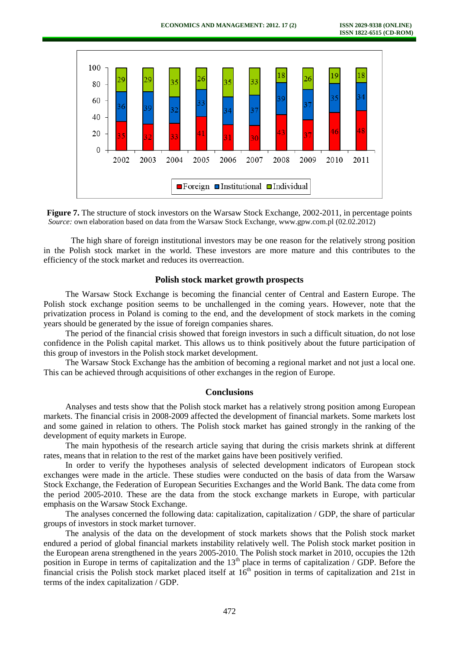



The high share of foreign institutional investors may be one reason for the relatively strong position in the Polish stock market in the world. These investors are more mature and this contributes to the efficiency of the stock market and reduces its overreaction.

# **Polish stock market growth prospects**

The Warsaw Stock Exchange is becoming the financial center of Central and Eastern Europe. The Polish stock exchange position seems to be unchallenged in the coming years. However, note that the privatization process in Poland is coming to the end, and the development of stock markets in the coming years should be generated by the issue of foreign companies shares.

The period of the financial crisis showed that foreign investors in such a difficult situation, do not lose confidence in the Polish capital market. This allows us to think positively about the future participation of this group of investors in the Polish stock market development.

The Warsaw Stock Exchange has the ambition of becoming a regional market and not just a local one. This can be achieved through acquisitions of other exchanges in the region of Europe.

# **Conclusions**

Analyses and tests show that the Polish stock market has a relatively strong position among European markets. The financial crisis in 2008-2009 affected the development of financial markets. Some markets lost and some gained in relation to others. The Polish stock market has gained strongly in the ranking of the development of equity markets in Europe.

The main hypothesis of the research article saying that during the crisis markets shrink at different rates, means that in relation to the rest of the market gains have been positively verified.

In order to verify the hypotheses analysis of selected development indicators of European stock exchanges were made in the article. These studies were conducted on the basis of data from the Warsaw Stock Exchange, the Federation of European Securities Exchanges and the World Bank. The data come from the period 2005-2010. These are the data from the stock exchange markets in Europe, with particular emphasis on the Warsaw Stock Exchange.

The analyses concerned the following data: capitalization, capitalization / GDP, the share of particular groups of investors in stock market turnover.

The analysis of the data on the development of stock markets shows that the Polish stock market endured a period of global financial markets instability relatively well. The Polish stock market position in the European arena strengthened in the years 2005-2010. The Polish stock market in 2010, occupies the 12th position in Europe in terms of capitalization and the 13<sup>th</sup> place in terms of capitalization / GDP. Before the financial crisis the Polish stock market placed itself at  $16<sup>th</sup>$  position in terms of capitalization and 21st in terms of the index capitalization / GDP.